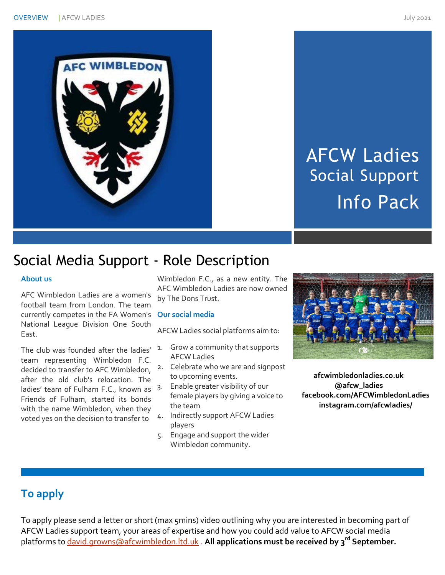



# AFCW Ladies Social Support Info Pack

# Social Media Support - Role Description

### **About us**

AFC Wimbledon Ladies are a women's football team from London. The team currently competes in the FA Women's **Our social media** National League Division One South East.

The club was founded after the ladies' team representing Wimbledon F.C. decided to transfer to AFC Wimbledon, after the old club's relocation. The ladies' team of Fulham F.C., known as  $3 -$ Friends of Fulham, started its bonds with the name Wimbledon, when they voted yes on the decision to transfer to

Wimbledon F.C., as a new entity. The AFC Wimbledon Ladies are now owned by The Dons Trust.

AFCW Ladies social platforms aim to:

- 1. Grow a community that supports AFCW Ladies
- 2. Celebrate who we are and signpost to upcoming events.
- Enable greater visibility of our female players by giving a voice to the team
- 4. Indirectly support AFCW Ladies players
- 5. Engage and support the wider Wimbledon community.



**afcwimbledonladies.co.uk @afcw\_ladies facebook.com/AFCWimbledonLadies instagram.com/afcwladies/**

## **To apply**

To apply please send a letter or short (max 5mins) video outlining why you are interested in becoming part of AFCW Ladies support team, your areas of expertise and how you could add value to AFCW social media platforms t[o david.growns@afcwimbledon.ltd.uk](mailto:david.growns@afcwimbledon.ltd.uk) . **All applications must be received by 3 rd September.**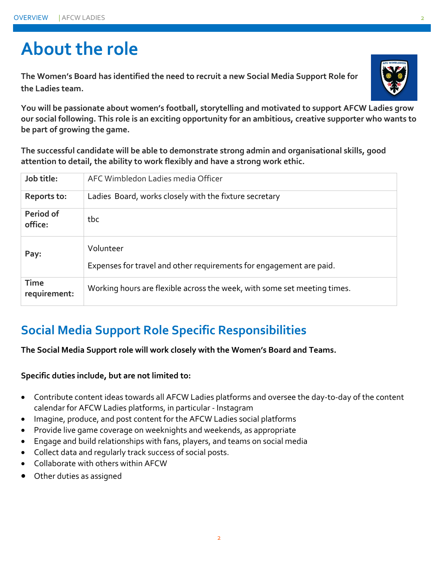# **About the role**

**The Women's Board has identified the need to recruit a new Social Media Support Role for the Ladies team.** 



**You will be passionate about women's football, storytelling and motivated to support AFCW Ladies grow our social following. This role is an exciting opportunity for an ambitious, creative supporter who wants to be part of growing the game.** 

**The successful candidate will be able to demonstrate strong admin and organisational skills, good attention to detail, the ability to work flexibly and have a strong work ethic.** 

| Job title:                  | AFC Wimbledon Ladies media Officer                                               |
|-----------------------------|----------------------------------------------------------------------------------|
| Reports to:                 | Ladies Board, works closely with the fixture secretary                           |
| Period of<br>office:        | tbc                                                                              |
| Pay:                        | Volunteer<br>Expenses for travel and other requirements for engagement are paid. |
| <b>Time</b><br>requirement: | Working hours are flexible across the week, with some set meeting times.         |

# **Social Media Support Role Specific Responsibilities**

**The Social Media Support role will work closely with the Women's Board and Teams.** 

**Specific duties include, but are not limited to:** 

- Contribute content ideas towards all AFCW Ladies platforms and oversee the day-to-day of the content calendar for AFCW Ladies platforms, in particular - Instagram
- Imagine, produce, and post content for the AFCW Ladies social platforms
- Provide live game coverage on weeknights and weekends, as appropriate
- Engage and build relationships with fans, players, and teams on social media
- Collect data and regularly track success of social posts.
- Collaborate with others within AFCW
- Other duties as assigned